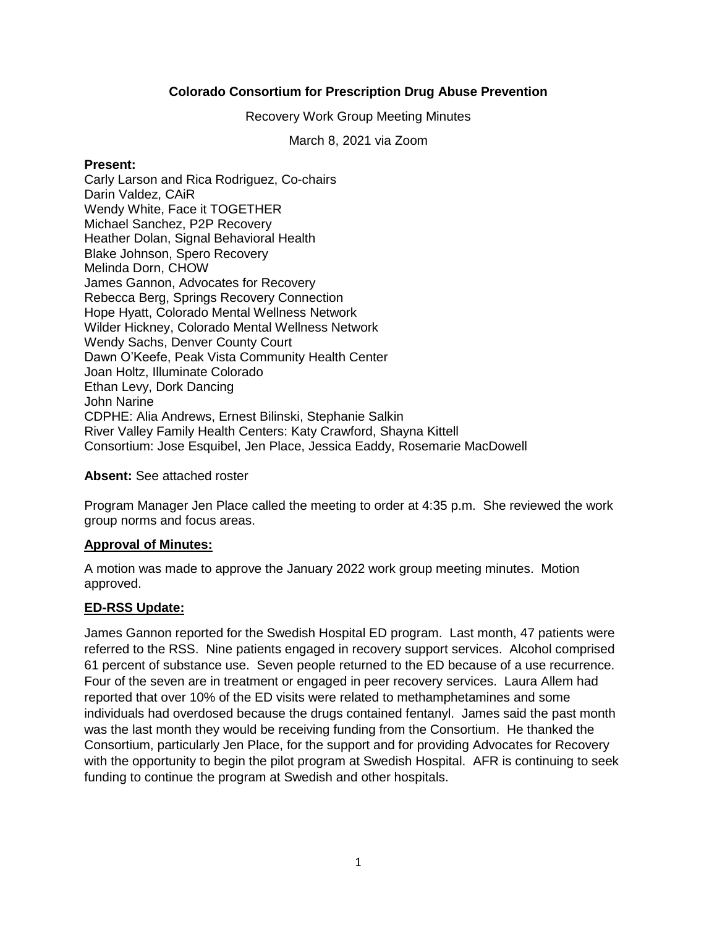# **Colorado Consortium for Prescription Drug Abuse Prevention**

Recovery Work Group Meeting Minutes

March 8, 2021 via Zoom

#### **Present:**

Carly Larson and Rica Rodriguez, Co-chairs Darin Valdez, CAiR Wendy White, Face it TOGETHER Michael Sanchez, P2P Recovery Heather Dolan, Signal Behavioral Health Blake Johnson, Spero Recovery Melinda Dorn, CHOW James Gannon, Advocates for Recovery Rebecca Berg, Springs Recovery Connection Hope Hyatt, Colorado Mental Wellness Network Wilder Hickney, Colorado Mental Wellness Network Wendy Sachs, Denver County Court Dawn O'Keefe, Peak Vista Community Health Center Joan Holtz, Illuminate Colorado Ethan Levy, Dork Dancing John Narine CDPHE: Alia Andrews, Ernest Bilinski, Stephanie Salkin River Valley Family Health Centers: Katy Crawford, Shayna Kittell Consortium: Jose Esquibel, Jen Place, Jessica Eaddy, Rosemarie MacDowell

#### **Absent:** See attached roster

Program Manager Jen Place called the meeting to order at 4:35 p.m. She reviewed the work group norms and focus areas.

# **Approval of Minutes:**

A motion was made to approve the January 2022 work group meeting minutes. Motion approved.

# **ED-RSS Update:**

James Gannon reported for the Swedish Hospital ED program. Last month, 47 patients were referred to the RSS. Nine patients engaged in recovery support services. Alcohol comprised 61 percent of substance use. Seven people returned to the ED because of a use recurrence. Four of the seven are in treatment or engaged in peer recovery services. Laura Allem had reported that over 10% of the ED visits were related to methamphetamines and some individuals had overdosed because the drugs contained fentanyl. James said the past month was the last month they would be receiving funding from the Consortium. He thanked the Consortium, particularly Jen Place, for the support and for providing Advocates for Recovery with the opportunity to begin the pilot program at Swedish Hospital. AFR is continuing to seek funding to continue the program at Swedish and other hospitals.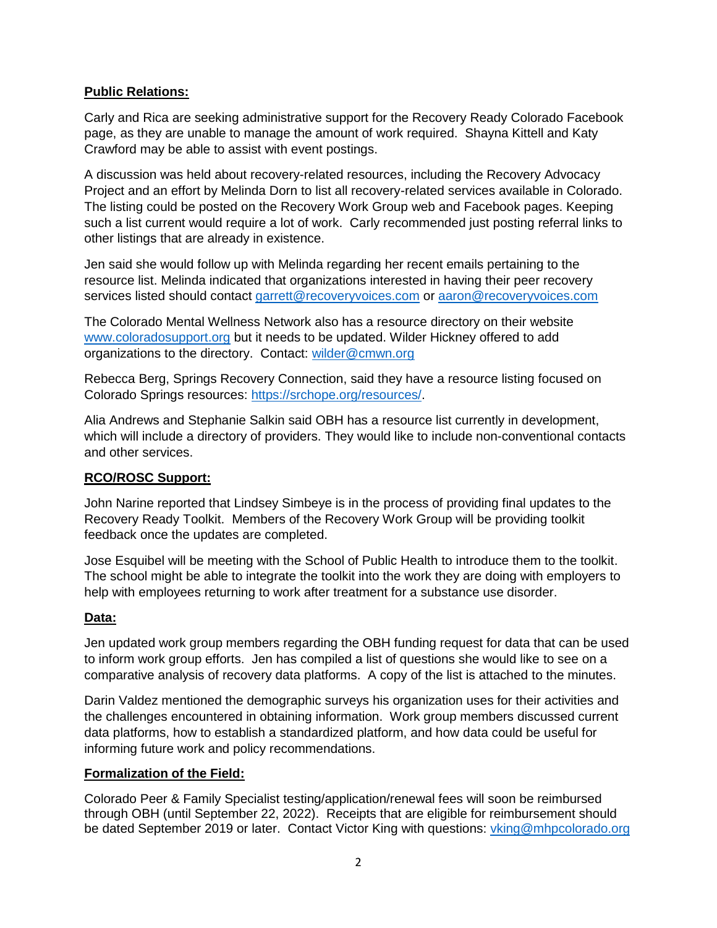# **Public Relations:**

Carly and Rica are seeking administrative support for the Recovery Ready Colorado Facebook page, as they are unable to manage the amount of work required. Shayna Kittell and Katy Crawford may be able to assist with event postings.

A discussion was held about recovery-related resources, including the Recovery Advocacy Project and an effort by Melinda Dorn to list all recovery-related services available in Colorado. The listing could be posted on the Recovery Work Group web and Facebook pages. Keeping such a list current would require a lot of work. Carly recommended just posting referral links to other listings that are already in existence.

Jen said she would follow up with Melinda regarding her recent emails pertaining to the resource list. Melinda indicated that organizations interested in having their peer recovery services listed should contact [garrett@recoveryvoices.com](mailto:garrett@recoveryvoices.com) or [aaron@recoveryvoices.com](mailto:aaron@recoveryvoices.com)

The Colorado Mental Wellness Network also has a resource directory on their website [www.coloradosupport.org](http://www.coloradosupport.org/) but it needs to be updated. Wilder Hickney offered to add organizations to the directory. Contact: [wilder@cmwn.org](mailto:wilder@cmwn.org)

Rebecca Berg, Springs Recovery Connection, said they have a resource listing focused on Colorado Springs resources: [https://srchope.org/resources/.](https://srchope.org/resources/)

Alia Andrews and Stephanie Salkin said OBH has a resource list currently in development, which will include a directory of providers. They would like to include non-conventional contacts and other services.

# **RCO/ROSC Support:**

John Narine reported that Lindsey Simbeye is in the process of providing final updates to the Recovery Ready Toolkit. Members of the Recovery Work Group will be providing toolkit feedback once the updates are completed.

Jose Esquibel will be meeting with the School of Public Health to introduce them to the toolkit. The school might be able to integrate the toolkit into the work they are doing with employers to help with employees returning to work after treatment for a substance use disorder.

# **Data:**

Jen updated work group members regarding the OBH funding request for data that can be used to inform work group efforts. Jen has compiled a list of questions she would like to see on a comparative analysis of recovery data platforms. A copy of the list is attached to the minutes.

Darin Valdez mentioned the demographic surveys his organization uses for their activities and the challenges encountered in obtaining information. Work group members discussed current data platforms, how to establish a standardized platform, and how data could be useful for informing future work and policy recommendations.

# **Formalization of the Field:**

Colorado Peer & Family Specialist testing/application/renewal fees will soon be reimbursed through OBH (until September 22, 2022). Receipts that are eligible for reimbursement should be dated September 2019 or later. Contact Victor King with questions: [vking@mhpcolorado.org](mailto:vking@mhpcolorado.org)